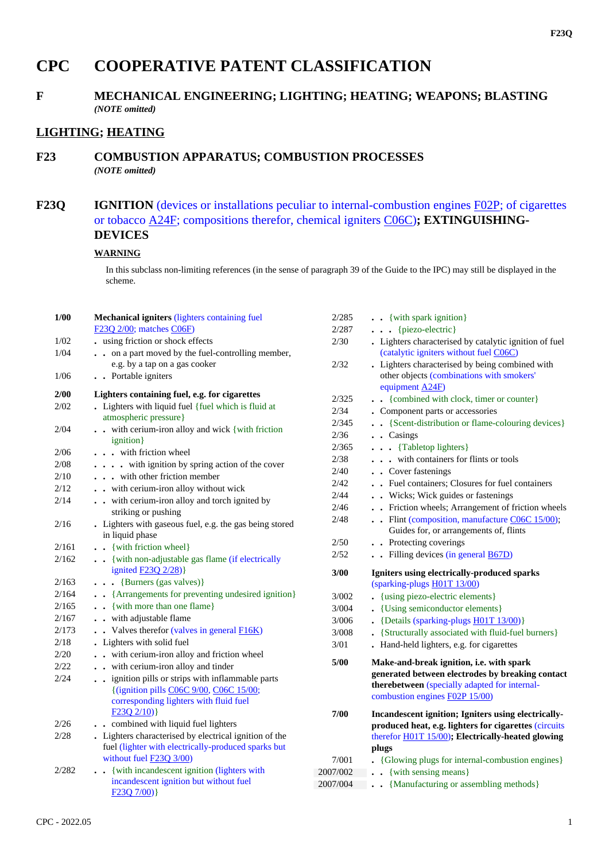# **CPC COOPERATIVE PATENT CLASSIFICATION**

#### **F MECHANICAL ENGINEERING; LIGHTING; HEATING; WEAPONS; BLASTING** *(NOTE omitted)*

### **LIGHTING; HEATING**

#### **F23 COMBUSTION APPARATUS; COMBUSTION PROCESSES** *(NOTE omitted)*

## **F23Q IGNITION** (devices or installations peculiar to internal-combustion engines F02P; of cigarettes or tobacco A24F; compositions therefor, chemical igniters C06C)**; EXTINGUISHING-DEVICES**

#### **WARNING**

In this subclass non-limiting references (in the sense of paragraph 39 of the Guide to the IPC) may still be displayed in the scheme.

| 1/00  | Mechanical igniters (lighters containing fuel                                                                                                             |    |
|-------|-----------------------------------------------------------------------------------------------------------------------------------------------------------|----|
|       | $F23Q$ $2/00$ ; matches $C06F$ )                                                                                                                          |    |
| 1/02  | using friction or shock effects                                                                                                                           |    |
| 1/04  | on a part moved by the fuel-controlling member,                                                                                                           |    |
|       | e.g. by a tap on a gas cooker                                                                                                                             |    |
| 1/06  | . . Portable igniters                                                                                                                                     |    |
| 2/00  | Lighters containing fuel, e.g. for cigarettes                                                                                                             |    |
| 2/02  | . Lighters with liquid fuel {fuel which is fluid at                                                                                                       |    |
|       | atmospheric pressure}                                                                                                                                     |    |
| 2/04  | with cerium-iron alloy and wick { with friction<br>ignition }                                                                                             |    |
| 2/06  | . . with friction wheel                                                                                                                                   |    |
| 2/08  | with ignition by spring action of the cover                                                                                                               |    |
| 2/10  | . with other friction member                                                                                                                              |    |
| 2/12  | . . with cerium-iron alloy without wick                                                                                                                   |    |
| 2/14  | with cerium-iron alloy and torch ignited by<br>striking or pushing                                                                                        |    |
| 2/16  | . Lighters with gaseous fuel, e.g. the gas being stored                                                                                                   |    |
|       | in liquid phase                                                                                                                                           |    |
| 2/161 | . . {with friction wheel}                                                                                                                                 |    |
| 2/162 | . . {with non-adjustable gas flame (if electrically<br>ignited <b>F23Q 2/28</b> )}                                                                        |    |
| 2/163 | $\bullet$ {Burners (gas valves)}                                                                                                                          |    |
| 2/164 | • • {Arrangements for preventing undesired ignition}                                                                                                      |    |
| 2/165 | . { with more than one flame}                                                                                                                             |    |
| 2/167 | . . with adjustable flame                                                                                                                                 |    |
| 2/173 | $\bullet$ $\bullet$ Valves therefor (valves in general F16K)                                                                                              |    |
| 2/18  | Lighters with solid fuel                                                                                                                                  |    |
| 2/20  | with cerium-iron alloy and friction wheel                                                                                                                 |    |
| 2/22  | . . with cerium-iron alloy and tinder                                                                                                                     |    |
| 2/24  | . . ignition pills or strips with inflammable parts<br>{(ignition pills C06C 9/00, C06C 15/00;<br>corresponding lighters with fluid fuel<br>$F23Q 2/10$ } |    |
| 2/26  | . combined with liquid fuel lighters                                                                                                                      |    |
| 2/28  | Lighters characterised by electrical ignition of the                                                                                                      |    |
|       | fuel (lighter with electrically-produced sparks but<br>without fuel F23Q 3/00)                                                                            |    |
| 2/282 | . . {with incandescent ignition (lighters with                                                                                                            | 20 |
|       | incandescent ignition but without fuel<br>F230 7/00)                                                                                                      | 20 |

| 2/285                | . . {with spark ignition}                                                                        |
|----------------------|--------------------------------------------------------------------------------------------------|
| 2/287                | {piezo-electric}<br>$\cdots$                                                                     |
| 2/30                 | . Lighters characterised by catalytic ignition of fuel<br>(catalytic igniters without fuel C06C) |
| 2/32                 | Lighters characterised by being combined with<br>other objects (combinations with smokers'       |
| 2/325                | equipment A24F)<br>{combined with clock, timer or counter}                                       |
| 2/34                 | Component parts or accessories                                                                   |
| 2/345                | {Scent-distribution or flame-colouring devices}<br>$\ddot{\phantom{a}}$                          |
| 2/36                 | Casings<br>$\ddot{\phantom{a}}$<br>$\ddot{\phantom{0}}$                                          |
| 2/365                | {Tabletop lighters}<br>$\ddot{\phantom{0}}$                                                      |
| 2/38                 | with containers for flints or tools<br>$\ddot{\phantom{a}}$<br>$\ddot{\phantom{0}}$              |
| 2/40                 | • Cover fastenings                                                                               |
| 2/42                 | • Fuel containers; Closures for fuel containers                                                  |
| 2/44                 | . Wicks; Wick guides or fastenings                                                               |
| 2/46                 | . Friction wheels; Arrangement of friction wheels                                                |
| 2/48                 | Flint (composition, manufacture $C06C$ 15/00);                                                   |
|                      | Guides for, or arrangements of, flints                                                           |
| 2/50                 | . Protecting coverings<br>$\ddot{\phantom{0}}$                                                   |
| 2/52                 | $\bullet$ Filling devices (in general $\overline{B67D}$ )                                        |
|                      |                                                                                                  |
| 3/00                 | Igniters using electrically-produced sparks                                                      |
|                      | (sparking-plugs H01T 13/00)                                                                      |
| 3/002                | {using piezo-electric elements}<br>$\ddot{\phantom{a}}$                                          |
| 3/004                | {Using semiconductor elements}<br>$\ddot{\phantom{0}}$                                           |
| 3/006                | {Details (sparking-plugs H01T 13/00)}<br>$\ddot{\phantom{0}}$                                    |
| 3/008                | {Structurally associated with fluid-fuel burners}<br>$\ddot{\phantom{0}}$                        |
| 3/01                 | Hand-held lighters, e.g. for cigarettes                                                          |
| 5/00                 | Make-and-break ignition, i.e. with spark                                                         |
|                      | generated between electrodes by breaking contact                                                 |
|                      | therebetween (specially adapted for internal-<br>combustion engines F02P 15/00)                  |
| 7/00                 | Incandescent ignition; Igniters using electrically-                                              |
|                      | produced heat, e.g. lighters for cigarettes (circuits                                            |
|                      | therefor H01T 15/00); Electrically-heated glowing                                                |
|                      | plugs                                                                                            |
| 7/001                | {Glowing plugs for internal-combustion engines}                                                  |
| 2007/002<br>2007/004 | {with sensing means}<br>$\ddot{\phantom{0}}$<br>{Manufacturing or assembling methods}            |